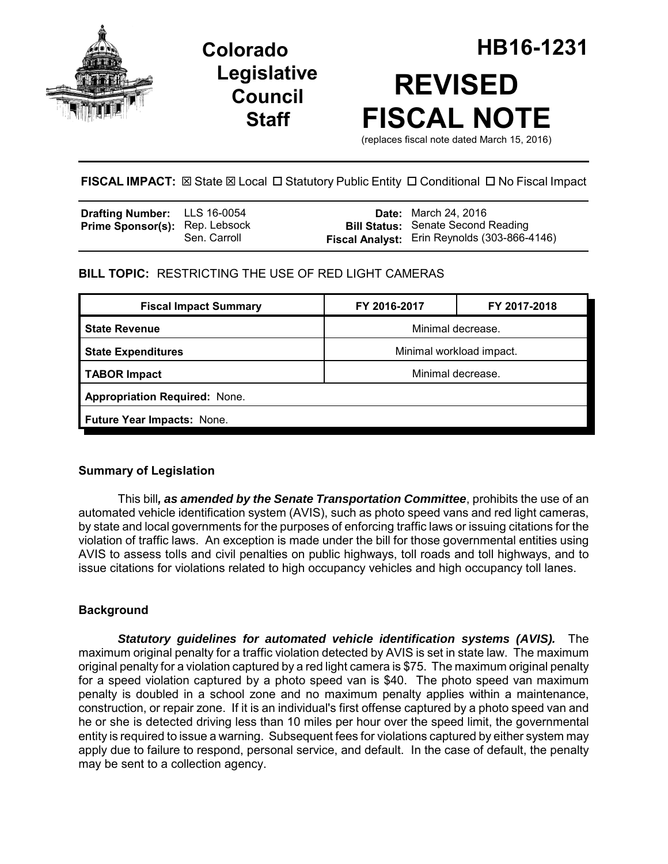

**Legislative Council Staff**



**FISCAL IMPACT:**  $\boxtimes$  **State**  $\boxtimes$  **Local □ Statutory Public Entity □ Conditional □ No Fiscal Impact** 

| Drafting Number: LLS 16-0054          |              | <b>Date:</b> March 24, 2016                                                                      |
|---------------------------------------|--------------|--------------------------------------------------------------------------------------------------|
| <b>Prime Sponsor(s): Rep. Lebsock</b> | Sen. Carroll | <b>Bill Status: Senate Second Reading</b><br><b>Fiscal Analyst:</b> Erin Reynolds (303-866-4146) |

# **BILL TOPIC:** RESTRICTING THE USE OF RED LIGHT CAMERAS

| <b>Fiscal Impact Summary</b>         | FY 2016-2017             | FY 2017-2018 |  |  |  |
|--------------------------------------|--------------------------|--------------|--|--|--|
| <b>State Revenue</b>                 | Minimal decrease.        |              |  |  |  |
| <b>State Expenditures</b>            | Minimal workload impact. |              |  |  |  |
| <b>TABOR Impact</b>                  | Minimal decrease.        |              |  |  |  |
| <b>Appropriation Required: None.</b> |                          |              |  |  |  |
| Future Year Impacts: None.           |                          |              |  |  |  |

## **Summary of Legislation**

This bill*, as amended by the Senate Transportation Committee*, prohibits the use of an automated vehicle identification system (AVIS), such as photo speed vans and red light cameras, by state and local governments for the purposes of enforcing traffic laws or issuing citations for the violation of traffic laws. An exception is made under the bill for those governmental entities using AVIS to assess tolls and civil penalties on public highways, toll roads and toll highways, and to issue citations for violations related to high occupancy vehicles and high occupancy toll lanes.

## **Background**

*Statutory guidelines for automated vehicle identification systems (AVIS).* The maximum original penalty for a traffic violation detected by AVIS is set in state law. The maximum original penalty for a violation captured by a red light camera is \$75. The maximum original penalty for a speed violation captured by a photo speed van is \$40. The photo speed van maximum penalty is doubled in a school zone and no maximum penalty applies within a maintenance, construction, or repair zone. If it is an individual's first offense captured by a photo speed van and he or she is detected driving less than 10 miles per hour over the speed limit, the governmental entity is required to issue a warning. Subsequent fees for violations captured by either system may apply due to failure to respond, personal service, and default. In the case of default, the penalty may be sent to a collection agency.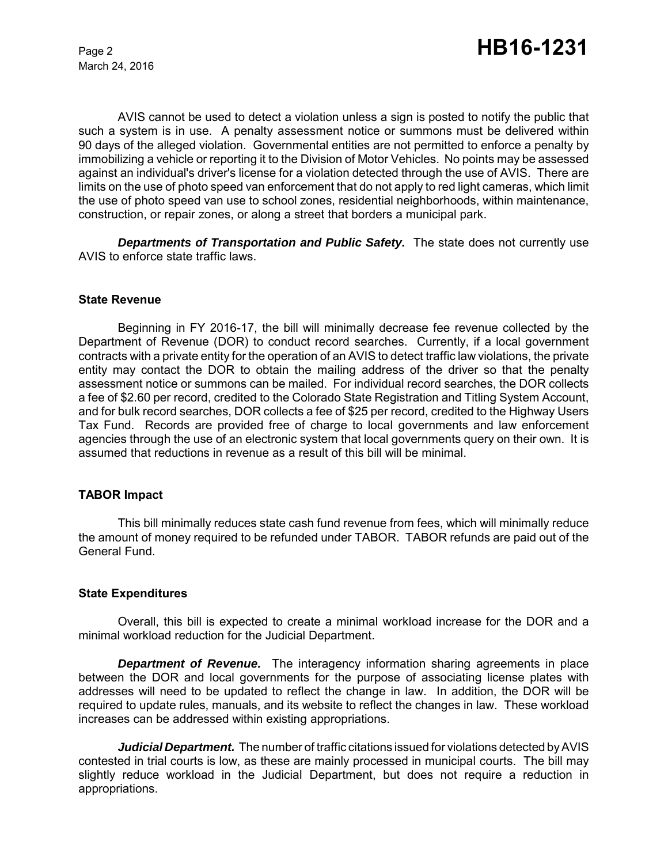March 24, 2016

AVIS cannot be used to detect a violation unless a sign is posted to notify the public that such a system is in use. A penalty assessment notice or summons must be delivered within 90 days of the alleged violation. Governmental entities are not permitted to enforce a penalty by immobilizing a vehicle or reporting it to the Division of Motor Vehicles. No points may be assessed against an individual's driver's license for a violation detected through the use of AVIS. There are limits on the use of photo speed van enforcement that do not apply to red light cameras, which limit the use of photo speed van use to school zones, residential neighborhoods, within maintenance, construction, or repair zones, or along a street that borders a municipal park.

*Departments of Transportation and Public Safety.* The state does not currently use AVIS to enforce state traffic laws.

#### **State Revenue**

Beginning in FY 2016-17, the bill will minimally decrease fee revenue collected by the Department of Revenue (DOR) to conduct record searches. Currently, if a local government contracts with a private entity for the operation of an AVIS to detect traffic law violations, the private entity may contact the DOR to obtain the mailing address of the driver so that the penalty assessment notice or summons can be mailed. For individual record searches, the DOR collects a fee of \$2.60 per record, credited to the Colorado State Registration and Titling System Account, and for bulk record searches, DOR collects a fee of \$25 per record, credited to the Highway Users Tax Fund. Records are provided free of charge to local governments and law enforcement agencies through the use of an electronic system that local governments query on their own. It is assumed that reductions in revenue as a result of this bill will be minimal.

#### **TABOR Impact**

This bill minimally reduces state cash fund revenue from fees, which will minimally reduce the amount of money required to be refunded under TABOR. TABOR refunds are paid out of the General Fund.

#### **State Expenditures**

Overall, this bill is expected to create a minimal workload increase for the DOR and a minimal workload reduction for the Judicial Department.

*Department of Revenue.* The interagency information sharing agreements in place between the DOR and local governments for the purpose of associating license plates with addresses will need to be updated to reflect the change in law. In addition, the DOR will be required to update rules, manuals, and its website to reflect the changes in law. These workload increases can be addressed within existing appropriations.

*Judicial Department.* The number of traffic citations issued for violations detected by AVIS contested in trial courts is low, as these are mainly processed in municipal courts. The bill may slightly reduce workload in the Judicial Department, but does not require a reduction in appropriations.